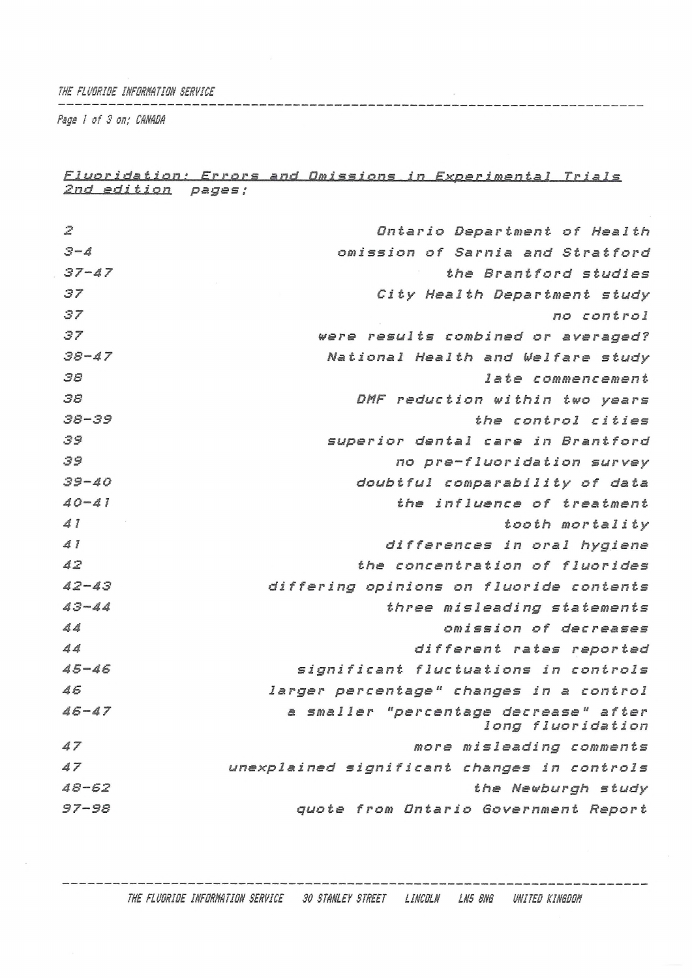*THE FLUORIDE INFORMTION SERVICE*

*Psge ! of 3 on; CANADA*

## *Fluoridation ! Errors and Omissions in Experimental Trials 2nd edition pages ;*

 $\sim$ 

| 2                                 | Ontario Department of Health                               |
|-----------------------------------|------------------------------------------------------------|
| $3 - 4$                           | omission of Sarnia and Stratford                           |
| $37 - 47$                         | the Brantford studies                                      |
| 37                                | City Health Department study                               |
| 37                                | no control                                                 |
| 37                                | were results combined or averaged?                         |
| $38 - 47$                         | National Health and Welfare study                          |
| 38                                | late commencement                                          |
| 38                                | DMF reduction within two years                             |
| $38 - 39$                         | the control cities                                         |
| 39                                | superior dental care in Brantford                          |
| 39                                | no pre-fluoridation survey                                 |
| $39 - 40$                         | doubtful comparability of data                             |
| $40 - 41$                         | the influence of treatment                                 |
| $\Delta$ $\overline{\phantom{a}}$ | tooth mortality                                            |
| 41                                | differences in oral hygiene                                |
| $\Delta$ $\mathbb{Z}$             | the concentration of fluorides                             |
| $42 - 43$                         | differing opinions on fluoride contents                    |
| $43 - 44$                         | three misleading statements                                |
| 44                                | omission of decreases                                      |
| $\Delta$                          | different rates reported                                   |
| $45 - 46$                         | significant fluctuations in controls                       |
| 46                                | larger percentage" changes in a control                    |
| $46 - 47$                         | a smaller "percentage decrease" after<br>long fluoridation |
| 47                                | more misleading comments                                   |
| 47                                | unexplained significant changes in controls                |
| $48 - 62$                         | the Newburgh study                                         |
| $97 - 98$                         | quote from Ontario Government Report                       |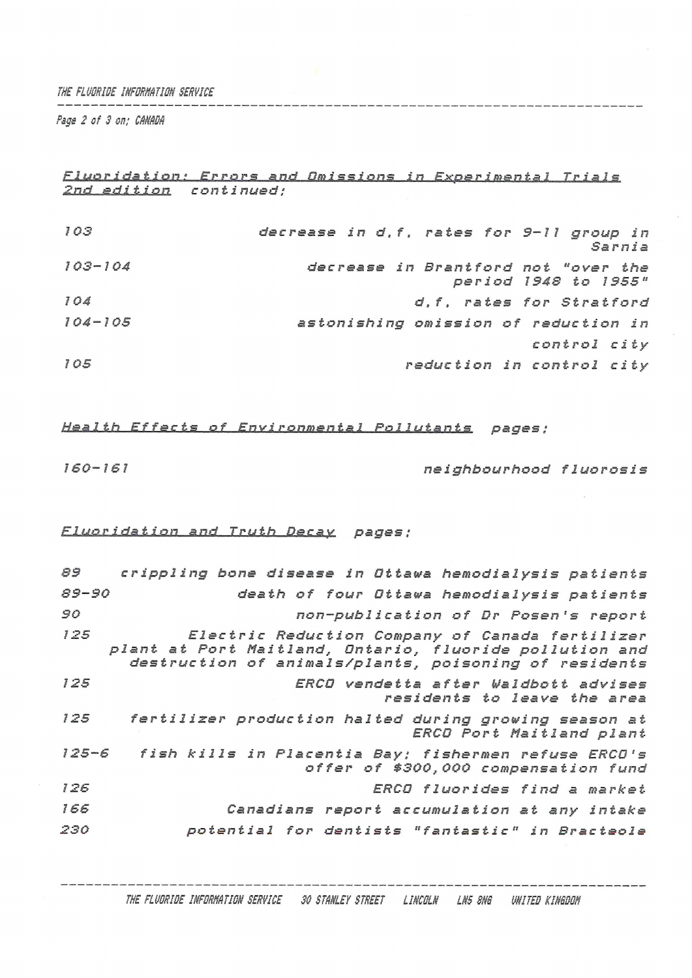*THE FĹUCRISE INFBRNATICN SERVICE*

*Page 2 of <sup>S</sup> on; CANAIM*

<u> Para Mandalu a Santa Alemania (</u>

*Fluoridation :' Errors and Omissions in Experimental Trials 2nd edition con tinued;*

| 103         | decrease in d.f. rates for 9-11 group in<br>Sarnia          |
|-------------|-------------------------------------------------------------|
| $103 - 104$ | decrease in Brantford not "over the<br>period 1948 to 1955" |
| 104         | d, f, rates for Stratford                                   |
| $104 - 105$ | astonishing omission of reduction in                        |
|             | control city                                                |
| 105         | reduction in control city                                   |
|             |                                                             |

*Health Effects of Environmental Pollutants pages ;*

*160-161 neighbourhood fluorosis*

## *Fluoridation and <sup>T</sup>ru pages ;*

| 89        | crippling bone disease in Ottawa hemodialysis patients                                                                                                              |
|-----------|---------------------------------------------------------------------------------------------------------------------------------------------------------------------|
| $89 - 90$ | death of four Ottawa hemodialysis patients                                                                                                                          |
| 90        | non-publication of Dr Posen's report                                                                                                                                |
| 125       | Electric Reduction Company of Canada fertilizer<br>plant at Port Maitland, Ontario, fluoride pollution and<br>destruction of animals/plants, poisoning of residents |
| 125       | ERCO vendetta after Waldbott advises<br>residents to leave the area                                                                                                 |
| 125       | fertilizer production halted during growing season at<br>ERCO Port Maitland plant                                                                                   |
| $125 - 6$ | fish kills in Placentia Bay; fishermen refuse ERCO's<br>offer of \$300,000 compensation fund                                                                        |
| 126       | ERCO fluorides find a market                                                                                                                                        |
| 166       | Canadians report accumulation at any intake                                                                                                                         |
| 230       | potential for dentists "fantastic" in Bracteole                                                                                                                     |
|           |                                                                                                                                                                     |